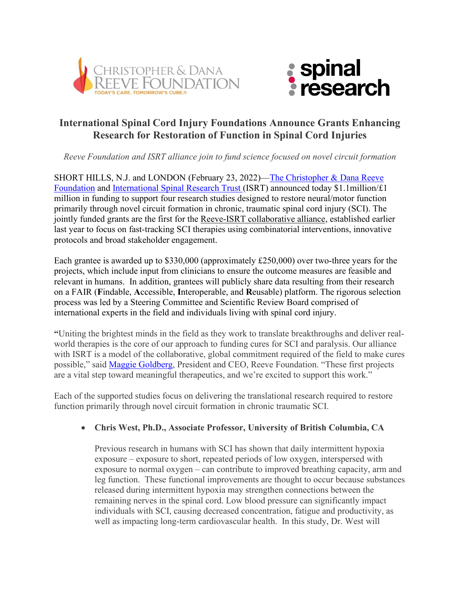



# **International Spinal Cord Injury Foundations Announce Grants Enhancing Research for Restoration of Function in Spinal Cord Injuries**

*Reeve Foundation and ISRT alliance join to fund science focused on novel circuit formation*

SHORT HILLS, N.J. and LONDON (February 23, 2022)—The [Christopher & Dana Reeve](https://c212.net/c/link/?t=0&l=en&o=3067284-1&h=3978661584&u=https%3A%2F%2Fwww.christopherreeve.org%2F&a=Christopher+%26+Dana+Reeve+Foundation)  [Foundation](https://c212.net/c/link/?t=0&l=en&o=3067284-1&h=3978661584&u=https%3A%2F%2Fwww.christopherreeve.org%2F&a=Christopher+%26+Dana+Reeve+Foundation) and International [Spinal Research Trust](https://spinal-research.org/) (ISRT) announced today \$1.1million/£1 million in funding to support four research studies designed to restore neural/motor function primarily through novel circuit formation in chronic, traumatic spinal cord injury (SCI). The jointly funded grants are the first for the Reeve-ISRT [collaborative alliance,](https://www.christopherreeve.org/about-us/press-releases/international-spinal-cord-injury-foundations-unite-to-advance-the-delivery-of-spinal-cord-therapies-with-a-focus-on-combinatorial-treatment-strategies) established earlier last year to focus on fast-tracking SCI therapies using combinatorial interventions, innovative protocols and broad stakeholder engagement.

Each grantee is awarded up to \$330,000 (approximately £250,000) over two-three years for the projects, which include input from clinicians to ensure the outcome measures are feasible and relevant in humans. In addition, grantees will publicly share data resulting from their research on a FAIR (**F**indable, **A**ccessible, **I**nteroperable, and **R**eusable) platform. The rigorous selection process was led by a Steering Committee and Scientific Review Board comprised of international experts in the field and individuals living with spinal cord injury.

**"**Uniting the brightest minds in the field as they work to translate breakthroughs and deliver realworld therapies is the core of our approach to funding cures for SCI and paralysis. Our alliance with ISRT is a model of the collaborative, global commitment required of the field to make cures possible," said [Maggie Goldberg,](https://www.christopherreeve.org/about-us/press-releases/marrgaret-goldberg-as-president-and-chief-executive-officer) President and CEO, Reeve Foundation. "These first projects are a vital step toward meaningful therapeutics, and we're excited to support this work."

Each of the supported studies focus on delivering the translational research required to restore function primarily through novel circuit formation in chronic traumatic SCI.

# • **Chris West, Ph.D., Associate Professor, University of British Columbia, CA**

Previous research in humans with SCI has shown that daily intermittent hypoxia exposure – exposure to short, repeated periods of low oxygen, interspersed with exposure to normal oxygen – can contribute to improved breathing capacity, arm and leg function. These functional improvements are thought to occur because substances released during intermittent hypoxia may strengthen connections between the remaining nerves in the spinal cord. Low blood pressure can significantly impact individuals with SCI, causing decreased concentration, fatigue and productivity, as well as impacting long-term cardiovascular health. In this study, Dr. West will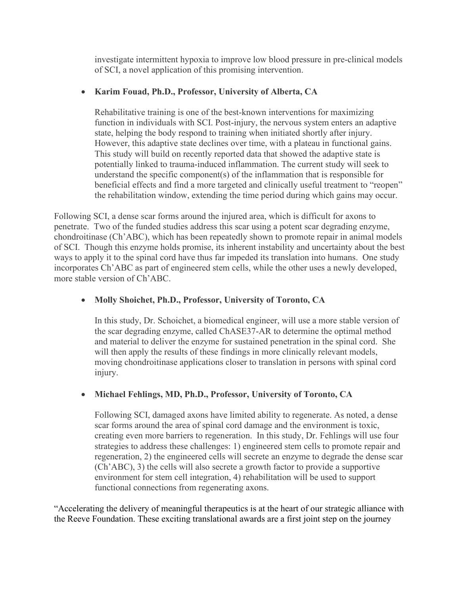investigate intermittent hypoxia to improve low blood pressure in pre-clinical models of SCI, a novel application of this promising intervention.

## • **Karim Fouad, Ph.D., Professor, University of Alberta, CA**

Rehabilitative training is one of the best-known interventions for maximizing function in individuals with SCI. Post-injury, the nervous system enters an adaptive state, helping the body respond to training when initiated shortly after injury. However, this adaptive state declines over time, with a plateau in functional gains. This study will build on recently reported data that showed the adaptive state is potentially linked to trauma-induced inflammation. The current study will seek to understand the specific component(s) of the inflammation that is responsible for beneficial effects and find a more targeted and clinically useful treatment to "reopen" the rehabilitation window, extending the time period during which gains may occur.

Following SCI, a dense scar forms around the injured area, which is difficult for axons to penetrate. Two of the funded studies address this scar using a potent scar degrading enzyme, chondroitinase (Ch'ABC), which has been repeatedly shown to promote repair in animal models of SCI. Though this enzyme holds promise, its inherent instability and uncertainty about the best ways to apply it to the spinal cord have thus far impeded its translation into humans. One study incorporates Ch'ABC as part of engineered stem cells, while the other uses a newly developed, more stable version of Ch'ABC.

• **Molly Shoichet, Ph.D., Professor, University of Toronto, CA**

In this study, Dr. Schoichet, a biomedical engineer, will use a more stable version of the scar degrading enzyme, called ChASE37-AR to determine the optimal method and material to deliver the enzyme for sustained penetration in the spinal cord. She will then apply the results of these findings in more clinically relevant models, moving chondroitinase applications closer to translation in persons with spinal cord injury.

# • **Michael Fehlings, MD, Ph.D., Professor, University of Toronto, CA**

Following SCI, damaged axons have limited ability to regenerate. As noted, a dense scar forms around the area of spinal cord damage and the environment is toxic, creating even more barriers to regeneration. In this study, Dr. Fehlings will use four strategies to address these challenges: 1) engineered stem cells to promote repair and regeneration, 2) the engineered cells will secrete an enzyme to degrade the dense scar (Ch'ABC), 3) the cells will also secrete a growth factor to provide a supportive environment for stem cell integration, 4) rehabilitation will be used to support functional connections from regenerating axons.

"Accelerating the delivery of meaningful therapeutics is at the heart of our strategic alliance with the Reeve Foundation. These exciting translational awards are a first joint step on the journey